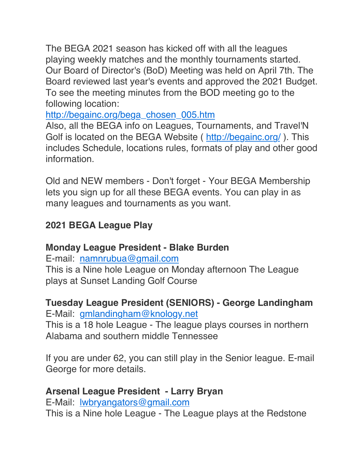The BEGA 2021 season has kicked off with all the leagues playing weekly matches and the monthly tournaments started. Our Board of Director's (BoD) Meeting was held on April 7th. The Board reviewed last year's events and approved the 2021 Budget. To see the meeting minutes from the BOD meeting go to the following location:

[http://begainc.org/bega\\_chosen\\_005.htm](http://begainc.org/bega_chosen_005.htm)

Also, all the BEGA info on Leagues, Tournaments, and Travel'N Golf is located on the BEGA Website ( <http://begainc.org/> ). This includes Schedule, locations rules, formats of play and other good information.

Old and NEW members - Don't forget - Your BEGA Membership lets you sign up for all these BEGA events. You can play in as many leagues and tournaments as you want.

## **2021 BEGA League Play**

## **Monday League President - Blake Burden**

E-mail: [namnrubua@gmail.com](mailto:namnrubua@gmail.com)

This is a Nine hole League on Monday afternoon The League plays at Sunset Landing Golf Course

# **Tuesday League President (SENIORS) - George Landingham**

E-Mail: [gmlandingham@knology.net](mailto:gmlandingham@knology.net)

This is a 18 hole League - The league plays courses in northern Alabama and southern middle Tennessee

If you are under 62, you can still play in the Senior league. E-mail George for more details.

## **Arsenal League President - Larry Bryan**

E-Mail: [lwbryangators@gmail.com](mailto:lwbryangators@gmail.com) This is a Nine hole League - The League plays at the Redstone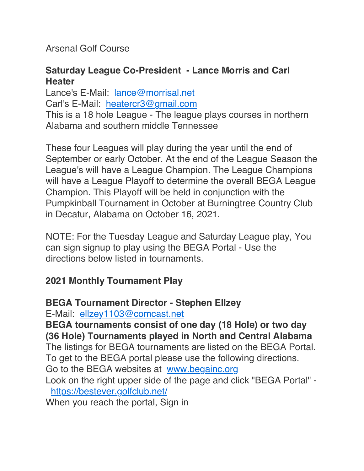Arsenal Golf Course

### **Saturday League Co-President - Lance Morris and Carl Heater**

Lance's E-Mail: [lance@morrisal.net](mailto:lance@morrisal.net) Carl's E-Mail: [heatercr3@gmail.com](mailto:heatercr3@gmail.com) This is a 18 hole League - The league plays courses in northern Alabama and southern middle Tennessee

These four Leagues will play during the year until the end of September or early October. At the end of the League Season the League's will have a League Champion. The League Champions will have a League Playoff to determine the overall BEGA League Champion. This Playoff will be held in conjunction with the Pumpkinball Tournament in October at Burningtree Country Club in Decatur, Alabama on October 16, 2021.

NOTE: For the Tuesday League and Saturday League play, You can sign signup to play using the BEGA Portal - Use the directions below listed in tournaments.

### **2021 Monthly Tournament Play**

### **BEGA Tournament Director - Stephen Ellzey**

E-Mail: [ellzey1103@comcast.net](mailto:ellzey1103@comcast.net)

**BEGA tournaments consist of one day (18 Hole) or two day (36 Hole) Tournaments played in North and Central Alabama** The listings for BEGA tournaments are listed on the BEGA Portal.

To get to the BEGA portal please use the following directions.

Go to the BEGA websites at [www.begainc.org](http://www.begainc.org/)

Look on the right upper side of the page and click "BEGA Portal" <https://bestever.golfclub.net/>

When you reach the portal, Sign in